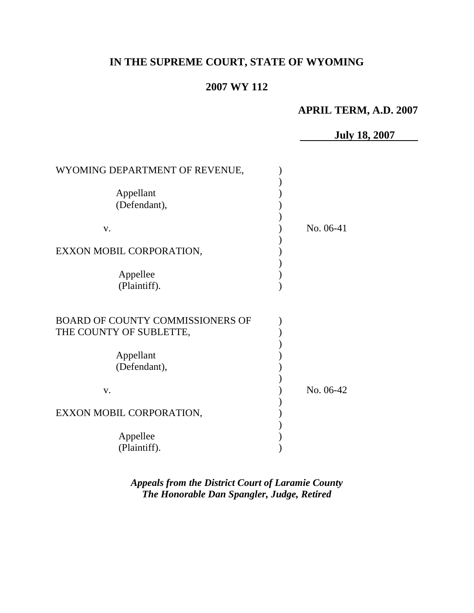# **IN THE SUPREME COURT, STATE OF WYOMING**

# **2007 WY 112**

# **APRIL TERM, A.D. 2007**

**July 18, 2007**

| WYOMING DEPARTMENT OF REVENUE,                                     |           |
|--------------------------------------------------------------------|-----------|
| Appellant<br>(Defendant),                                          |           |
| V.                                                                 | No. 06-41 |
| EXXON MOBIL CORPORATION,                                           |           |
| Appellee<br>(Plaintiff).                                           |           |
| <b>BOARD OF COUNTY COMMISSIONERS OF</b><br>THE COUNTY OF SUBLETTE, |           |
| Appellant<br>(Defendant),                                          |           |
| V.                                                                 | No. 06-42 |
| EXXON MOBIL CORPORATION,                                           |           |
| Appellee<br>(Plaintiff).                                           |           |

*Appeals from the District Court of Laramie County The Honorable Dan Spangler, Judge, Retired*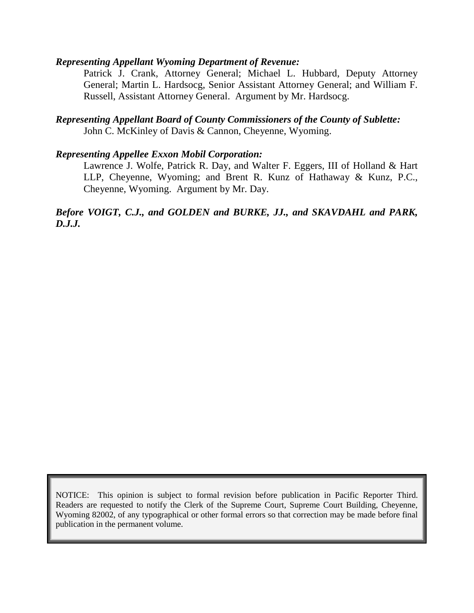#### *Representing Appellant Wyoming Department of Revenue:*

Patrick J. Crank, Attorney General; Michael L. Hubbard, Deputy Attorney General; Martin L. Hardsocg, Senior Assistant Attorney General; and William F. Russell, Assistant Attorney General. Argument by Mr. Hardsocg.

### *Representing Appellant Board of County Commissioners of the County of Sublette:* John C. McKinley of Davis & Cannon, Cheyenne, Wyoming.

### *Representing Appellee Exxon Mobil Corporation:*

Lawrence J. Wolfe, Patrick R. Day, and Walter F. Eggers, III of Holland & Hart LLP, Cheyenne, Wyoming; and Brent R. Kunz of Hathaway & Kunz, P.C., Cheyenne, Wyoming. Argument by Mr. Day.

### *Before VOIGT, C.J., and GOLDEN and BURKE, JJ., and SKAVDAHL and PARK, D.J.J.*

NOTICE: This opinion is subject to formal revision before publication in Pacific Reporter Third. Readers are requested to notify the Clerk of the Supreme Court, Supreme Court Building, Cheyenne, Wyoming 82002, of any typographical or other formal errors so that correction may be made before final publication in the permanent volume.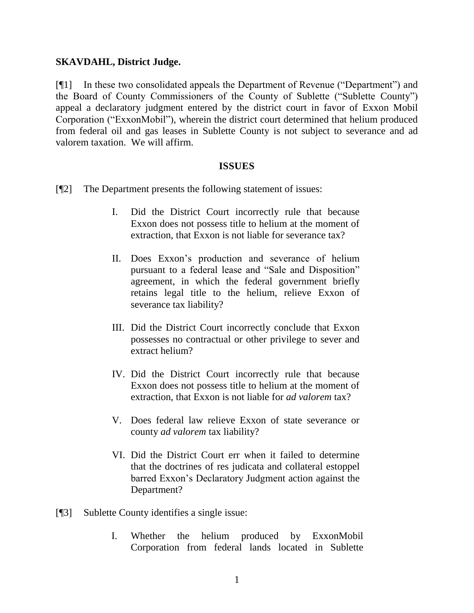### **SKAVDAHL, District Judge.**

[¶1] In these two consolidated appeals the Department of Revenue ("Department") and the Board of County Commissioners of the County of Sublette ("Sublette County") appeal a declaratory judgment entered by the district court in favor of Exxon Mobil Corporation ("ExxonMobil"), wherein the district court determined that helium produced from federal oil and gas leases in Sublette County is not subject to severance and ad valorem taxation. We will affirm.

#### **ISSUES**

- [¶2] The Department presents the following statement of issues:
	- I. Did the District Court incorrectly rule that because Exxon does not possess title to helium at the moment of extraction, that Exxon is not liable for severance tax?
	- II. Does Exxon's production and severance of helium pursuant to a federal lease and "Sale and Disposition" agreement, in which the federal government briefly retains legal title to the helium, relieve Exxon of severance tax liability?
	- III. Did the District Court incorrectly conclude that Exxon possesses no contractual or other privilege to sever and extract helium?
	- IV. Did the District Court incorrectly rule that because Exxon does not possess title to helium at the moment of extraction, that Exxon is not liable for *ad valorem* tax?
	- V. Does federal law relieve Exxon of state severance or county *ad valorem* tax liability?
	- VI. Did the District Court err when it failed to determine that the doctrines of res judicata and collateral estoppel barred Exxon's Declaratory Judgment action against the Department?
- [¶3] Sublette County identifies a single issue:
	- I. Whether the helium produced by ExxonMobil Corporation from federal lands located in Sublette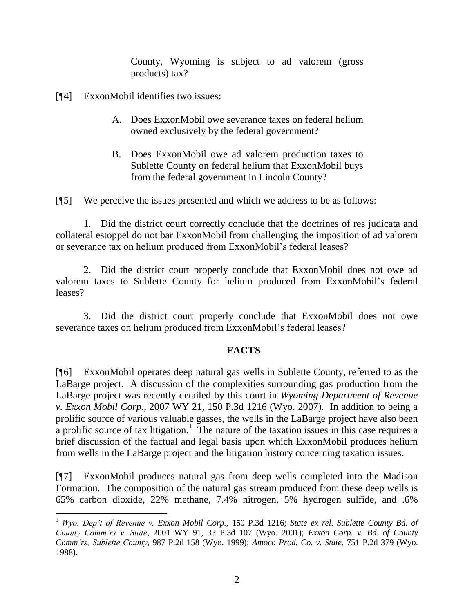County, Wyoming is subject to ad valorem (gross products) tax?

[¶4] ExxonMobil identifies two issues:

- A. Does ExxonMobil owe severance taxes on federal helium owned exclusively by the federal government?
- B. Does ExxonMobil owe ad valorem production taxes to Sublette County on federal helium that ExxonMobil buys from the federal government in Lincoln County?

[¶5] We perceive the issues presented and which we address to be as follows:

1. Did the district court correctly conclude that the doctrines of res judicata and collateral estoppel do not bar ExxonMobil from challenging the imposition of ad valorem or severance tax on helium produced from ExxonMobil's federal leases?

2. Did the district court properly conclude that ExxonMobil does not owe ad valorem taxes to Sublette County for helium produced from ExxonMobil's federal leases?

3. Did the district court properly conclude that ExxonMobil does not owe severance taxes on helium produced from ExxonMobil's federal leases?

# **FACTS**

[¶6] ExxonMobil operates deep natural gas wells in Sublette County, referred to as the LaBarge project. A discussion of the complexities surrounding gas production from the LaBarge project was recently detailed by this court in *Wyoming Department of Revenue v. Exxon Mobil Corp.*, 2007 WY 21, 150 P.3d 1216 (Wyo. 2007). In addition to being a prolific source of various valuable gasses, the wells in the LaBarge project have also been a prolific source of tax litigation.<sup>1</sup> The nature of the taxation issues in this case requires a brief discussion of the factual and legal basis upon which ExxonMobil produces helium from wells in the LaBarge project and the litigation history concerning taxation issues.

[¶7] ExxonMobil produces natural gas from deep wells completed into the Madison Formation. The composition of the natural gas stream produced from these deep wells is 65% carbon dioxide, 22% methane, 7.4% nitrogen, 5% hydrogen sulfide, and .6%

 <sup>1</sup> *Wyo. Dep't of Revenue v. Exxon Mobil Corp.*, 150 P.3d 1216; *State ex rel. Sublette County Bd. of County Comm'rs v. State*, 2001 WY 91, 33 P.3d 107 (Wyo. 2001); *Exxon Corp. v. Bd. of County Comm'rs, Sublette County*, 987 P.2d 158 (Wyo. 1999); *Amoco Prod. Co. v. State*, 751 P.2d 379 (Wyo. 1988).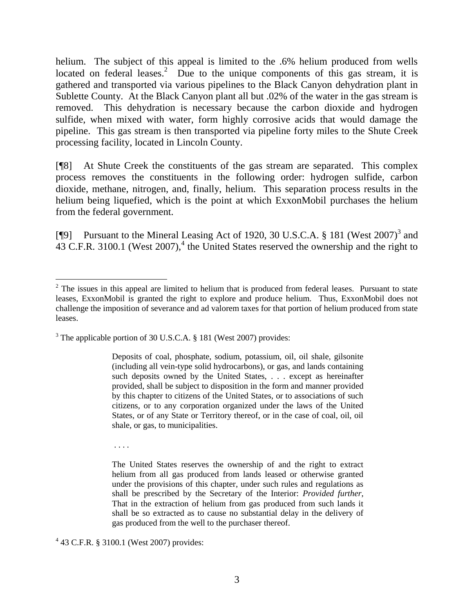helium. The subject of this appeal is limited to the .6% helium produced from wells located on federal leases.<sup>2</sup> Due to the unique components of this gas stream, it is gathered and transported via various pipelines to the Black Canyon dehydration plant in Sublette County. At the Black Canyon plant all but .02% of the water in the gas stream is removed. This dehydration is necessary because the carbon dioxide and hydrogen sulfide, when mixed with water, form highly corrosive acids that would damage the pipeline. This gas stream is then transported via pipeline forty miles to the Shute Creek processing facility, located in Lincoln County.

[¶8] At Shute Creek the constituents of the gas stream are separated. This complex process removes the constituents in the following order: hydrogen sulfide, carbon dioxide, methane, nitrogen, and, finally, helium. This separation process results in the helium being liquefied, which is the point at which ExxonMobil purchases the helium from the federal government.

[¶9] Pursuant to the Mineral Leasing Act of 1920, 30 U.S.C.A.  $\S$  181 (West 2007)<sup>3</sup> and  $43$  C.F.R. 3100.1 (West 2007),<sup>4</sup> the United States reserved the ownership and the right to

Deposits of coal, phosphate, sodium, potassium, oil, oil shale, gilsonite (including all vein-type solid hydrocarbons), or gas, and lands containing such deposits owned by the United States, . . . except as hereinafter provided, shall be subject to disposition in the form and manner provided by this chapter to citizens of the United States, or to associations of such citizens, or to any corporation organized under the laws of the United States, or of any State or Territory thereof, or in the case of coal, oil, oil shale, or gas, to municipalities.

. . . .

The United States reserves the ownership of and the right to extract helium from all gas produced from lands leased or otherwise granted under the provisions of this chapter, under such rules and regulations as shall be prescribed by the Secretary of the Interior: *Provided further*, That in the extraction of helium from gas produced from such lands it shall be so extracted as to cause no substantial delay in the delivery of gas produced from the well to the purchaser thereof.

4 43 C.F.R. § 3100.1 (West 2007) provides:

 $2$  The issues in this appeal are limited to helium that is produced from federal leases. Pursuant to state leases, ExxonMobil is granted the right to explore and produce helium. Thus, ExxonMobil does not challenge the imposition of severance and ad valorem taxes for that portion of helium produced from state leases.

<sup>&</sup>lt;sup>3</sup> The applicable portion of 30 U.S.C.A. § 181 (West 2007) provides: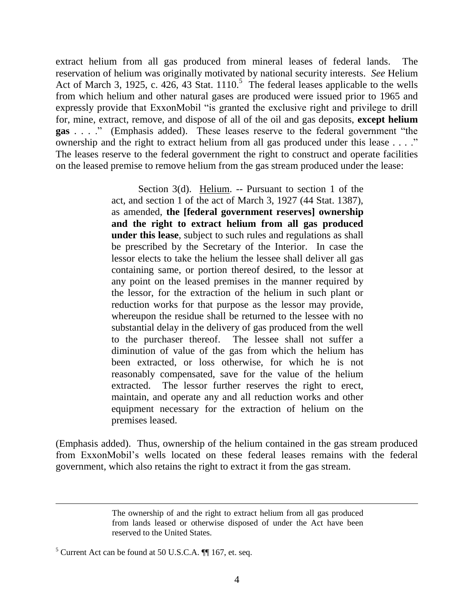extract helium from all gas produced from mineral leases of federal lands. The reservation of helium was originally motivated by national security interests. *See* Helium Act of March 3, 1925, c. 426, 43 Stat. 1110.<sup>5</sup> The federal leases applicable to the wells from which helium and other natural gases are produced were issued prior to 1965 and expressly provide that ExxonMobil "is granted the exclusive right and privilege to drill for, mine, extract, remove, and dispose of all of the oil and gas deposits, **except helium gas** . . . ." (Emphasis added). These leases reserve to the federal government "the ownership and the right to extract helium from all gas produced under this lease . . . ." The leases reserve to the federal government the right to construct and operate facilities on the leased premise to remove helium from the gas stream produced under the lease:

> Section 3(d). Helium. -- Pursuant to section 1 of the act, and section 1 of the act of March 3, 1927 (44 Stat. 1387), as amended, **the [federal government reserves] ownership and the right to extract helium from all gas produced under this lease**, subject to such rules and regulations as shall be prescribed by the Secretary of the Interior. In case the lessor elects to take the helium the lessee shall deliver all gas containing same, or portion thereof desired, to the lessor at any point on the leased premises in the manner required by the lessor, for the extraction of the helium in such plant or reduction works for that purpose as the lessor may provide, whereupon the residue shall be returned to the lessee with no substantial delay in the delivery of gas produced from the well to the purchaser thereof. The lessee shall not suffer a diminution of value of the gas from which the helium has been extracted, or loss otherwise, for which he is not reasonably compensated, save for the value of the helium extracted. The lessor further reserves the right to erect, maintain, and operate any and all reduction works and other equipment necessary for the extraction of helium on the premises leased.

(Emphasis added). Thus, ownership of the helium contained in the gas stream produced from ExxonMobil's wells located on these federal leases remains with the federal government, which also retains the right to extract it from the gas stream.

The ownership of and the right to extract helium from all gas produced from lands leased or otherwise disposed of under the Act have been reserved to the United States.

 $<sup>5</sup>$  Current Act can be found at 50 U.S.C.A.  $\P$  167, et. seq.</sup>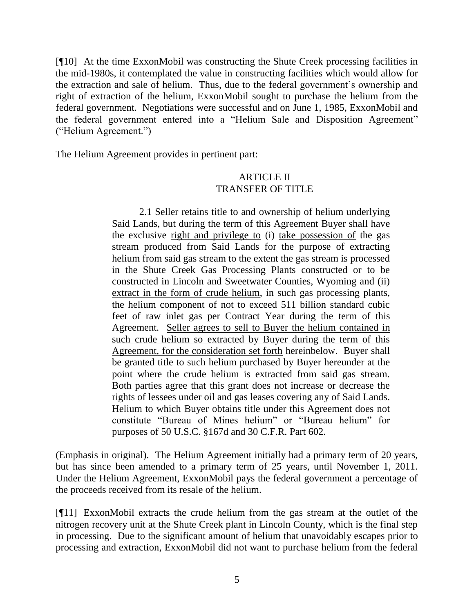[¶10] At the time ExxonMobil was constructing the Shute Creek processing facilities in the mid-1980s, it contemplated the value in constructing facilities which would allow for the extraction and sale of helium. Thus, due to the federal government's ownership and right of extraction of the helium, ExxonMobil sought to purchase the helium from the federal government. Negotiations were successful and on June 1, 1985, ExxonMobil and the federal government entered into a "Helium Sale and Disposition Agreement" ("Helium Agreement.")

The Helium Agreement provides in pertinent part:

### ARTICLE II TRANSFER OF TITLE

2.1 Seller retains title to and ownership of helium underlying Said Lands, but during the term of this Agreement Buyer shall have the exclusive right and privilege to (i) take possession of the gas stream produced from Said Lands for the purpose of extracting helium from said gas stream to the extent the gas stream is processed in the Shute Creek Gas Processing Plants constructed or to be constructed in Lincoln and Sweetwater Counties, Wyoming and (ii) extract in the form of crude helium, in such gas processing plants, the helium component of not to exceed 511 billion standard cubic feet of raw inlet gas per Contract Year during the term of this Agreement. Seller agrees to sell to Buyer the helium contained in such crude helium so extracted by Buyer during the term of this Agreement, for the consideration set forth hereinbelow. Buyer shall be granted title to such helium purchased by Buyer hereunder at the point where the crude helium is extracted from said gas stream. Both parties agree that this grant does not increase or decrease the rights of lessees under oil and gas leases covering any of Said Lands. Helium to which Buyer obtains title under this Agreement does not constitute "Bureau of Mines helium" or "Bureau helium" for purposes of 50 U.S.C. §167d and 30 C.F.R. Part 602.

(Emphasis in original). The Helium Agreement initially had a primary term of 20 years, but has since been amended to a primary term of 25 years, until November 1, 2011. Under the Helium Agreement, ExxonMobil pays the federal government a percentage of the proceeds received from its resale of the helium.

[¶11] ExxonMobil extracts the crude helium from the gas stream at the outlet of the nitrogen recovery unit at the Shute Creek plant in Lincoln County, which is the final step in processing. Due to the significant amount of helium that unavoidably escapes prior to processing and extraction, ExxonMobil did not want to purchase helium from the federal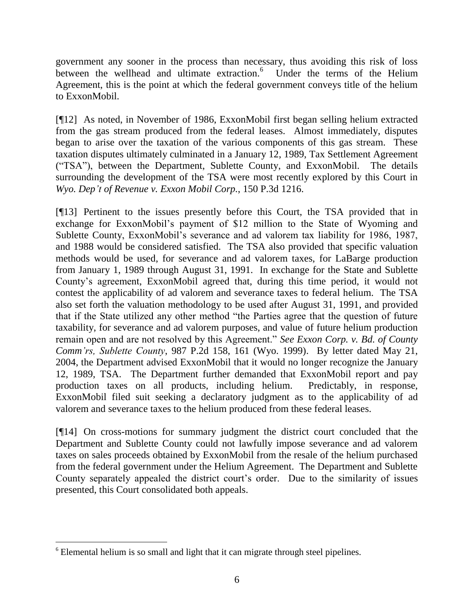government any sooner in the process than necessary, thus avoiding this risk of loss between the wellhead and ultimate extraction.<sup>6</sup> Under the terms of the Helium Agreement, this is the point at which the federal government conveys title of the helium to ExxonMobil.

[¶12] As noted, in November of 1986, ExxonMobil first began selling helium extracted from the gas stream produced from the federal leases. Almost immediately, disputes began to arise over the taxation of the various components of this gas stream. These taxation disputes ultimately culminated in a January 12, 1989, Tax Settlement Agreement ("TSA"), between the Department, Sublette County, and ExxonMobil. The details surrounding the development of the TSA were most recently explored by this Court in *Wyo. Dep't of Revenue v. Exxon Mobil Corp.*, 150 P.3d 1216.

[¶13] Pertinent to the issues presently before this Court, the TSA provided that in exchange for ExxonMobil's payment of \$12 million to the State of Wyoming and Sublette County, ExxonMobil's severance and ad valorem tax liability for 1986, 1987, and 1988 would be considered satisfied. The TSA also provided that specific valuation methods would be used, for severance and ad valorem taxes, for LaBarge production from January 1, 1989 through August 31, 1991. In exchange for the State and Sublette County's agreement, ExxonMobil agreed that, during this time period, it would not contest the applicability of ad valorem and severance taxes to federal helium. The TSA also set forth the valuation methodology to be used after August 31, 1991, and provided that if the State utilized any other method "the Parties agree that the question of future taxability, for severance and ad valorem purposes, and value of future helium production remain open and are not resolved by this Agreement." *See Exxon Corp. v. Bd. of County Comm'rs, Sublette County*, 987 P.2d 158, 161 (Wyo. 1999). By letter dated May 21, 2004, the Department advised ExxonMobil that it would no longer recognize the January 12, 1989, TSA. The Department further demanded that ExxonMobil report and pay production taxes on all products, including helium. Predictably, in response, ExxonMobil filed suit seeking a declaratory judgment as to the applicability of ad valorem and severance taxes to the helium produced from these federal leases.

[¶14] On cross-motions for summary judgment the district court concluded that the Department and Sublette County could not lawfully impose severance and ad valorem taxes on sales proceeds obtained by ExxonMobil from the resale of the helium purchased from the federal government under the Helium Agreement. The Department and Sublette County separately appealed the district court's order. Due to the similarity of issues presented, this Court consolidated both appeals.

  $6$  Elemental helium is so small and light that it can migrate through steel pipelines.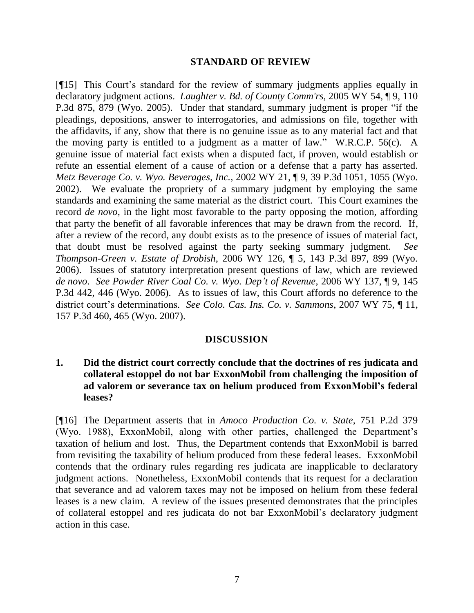#### **STANDARD OF REVIEW**

[¶15] This Court's standard for the review of summary judgments applies equally in declaratory judgment actions. *Laughter v. Bd. of County Comm'rs*, 2005 WY 54, ¶ 9, 110 P.3d 875, 879 (Wyo. 2005). Under that standard, summary judgment is proper "if the pleadings, depositions, answer to interrogatories, and admissions on file, together with the affidavits, if any, show that there is no genuine issue as to any material fact and that the moving party is entitled to a judgment as a matter of law." W.R.C.P. 56(c). A genuine issue of material fact exists when a disputed fact, if proven, would establish or refute an essential element of a cause of action or a defense that a party has asserted. *Metz Beverage Co. v. Wyo. Beverages, Inc.*, 2002 WY 21, ¶ 9, 39 P.3d 1051, 1055 (Wyo. 2002). We evaluate the propriety of a summary judgment by employing the same standards and examining the same material as the district court. This Court examines the record *de novo*, in the light most favorable to the party opposing the motion, affording that party the benefit of all favorable inferences that may be drawn from the record. If, after a review of the record, any doubt exists as to the presence of issues of material fact, that doubt must be resolved against the party seeking summary judgment. *See Thompson-Green v. Estate of Drobish*, 2006 WY 126, ¶ 5, 143 P.3d 897, 899 (Wyo. 2006). Issues of statutory interpretation present questions of law, which are reviewed *de novo*. *See Powder River Coal Co. v. Wyo. Dep't of Revenue*, 2006 WY 137, ¶ 9, 145 P.3d 442, 446 (Wyo. 2006). As to issues of law, this Court affords no deference to the district court's determinations. *See Colo. Cas. Ins. Co. v. Sammons*, 2007 WY 75, ¶ 11, 157 P.3d 460, 465 (Wyo. 2007).

### **DISCUSSION**

### **1. Did the district court correctly conclude that the doctrines of res judicata and collateral estoppel do not bar ExxonMobil from challenging the imposition of ad valorem or severance tax on helium produced from ExxonMobil's federal leases?**

[¶16] The Department asserts that in *Amoco Production Co. v. State*, 751 P.2d 379 (Wyo. 1988), ExxonMobil, along with other parties, challenged the Department's taxation of helium and lost. Thus, the Department contends that ExxonMobil is barred from revisiting the taxability of helium produced from these federal leases. ExxonMobil contends that the ordinary rules regarding res judicata are inapplicable to declaratory judgment actions. Nonetheless, ExxonMobil contends that its request for a declaration that severance and ad valorem taxes may not be imposed on helium from these federal leases is a new claim. A review of the issues presented demonstrates that the principles of collateral estoppel and res judicata do not bar ExxonMobil's declaratory judgment action in this case.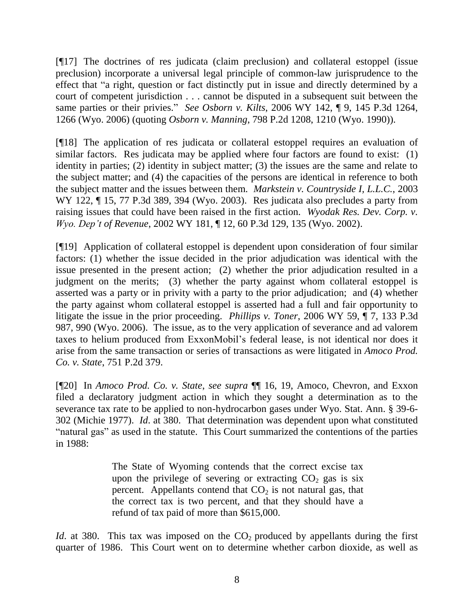[¶17] The doctrines of res judicata (claim preclusion) and collateral estoppel (issue preclusion) incorporate a universal legal principle of common-law jurisprudence to the effect that "a right, question or fact distinctly put in issue and directly determined by a court of competent jurisdiction . . . cannot be disputed in a subsequent suit between the same parties or their privies." *See Osborn v. Kilts*, 2006 WY 142, ¶ 9, 145 P.3d 1264, 1266 (Wyo. 2006) (quoting *Osborn v. Manning*, 798 P.2d 1208, 1210 (Wyo. 1990)).

[¶18] The application of res judicata or collateral estoppel requires an evaluation of similar factors. Res judicata may be applied where four factors are found to exist: (1) identity in parties; (2) identity in subject matter; (3) the issues are the same and relate to the subject matter; and (4) the capacities of the persons are identical in reference to both the subject matter and the issues between them. *Markstein v. Countryside I, L.L.C.*, 2003 WY 122,  $\P$  15, 77 P.3d 389, 394 (Wyo. 2003). Res judicata also precludes a party from raising issues that could have been raised in the first action. *Wyodak Res. Dev. Corp. v. Wyo. Dep't of Revenue*, 2002 WY 181, ¶ 12, 60 P.3d 129, 135 (Wyo. 2002).

[¶19] Application of collateral estoppel is dependent upon consideration of four similar factors: (1) whether the issue decided in the prior adjudication was identical with the issue presented in the present action; (2) whether the prior adjudication resulted in a judgment on the merits; (3) whether the party against whom collateral estoppel is asserted was a party or in privity with a party to the prior adjudication; and (4) whether the party against whom collateral estoppel is asserted had a full and fair opportunity to litigate the issue in the prior proceeding. *Phillips v. Toner*, 2006 WY 59, ¶ 7, 133 P.3d 987, 990 (Wyo. 2006). The issue, as to the very application of severance and ad valorem taxes to helium produced from ExxonMobil's federal lease, is not identical nor does it arise from the same transaction or series of transactions as were litigated in *Amoco Prod. Co. v. State*, 751 P.2d 379.

[¶20] In *Amoco Prod. Co. v. State*, *see supra* ¶¶ 16, 19, Amoco, Chevron, and Exxon filed a declaratory judgment action in which they sought a determination as to the severance tax rate to be applied to non-hydrocarbon gases under Wyo. Stat. Ann. § 39-6- 302 (Michie 1977). *Id*. at 380. That determination was dependent upon what constituted "natural gas" as used in the statute. This Court summarized the contentions of the parties in 1988:

> The State of Wyoming contends that the correct excise tax upon the privilege of severing or extracting  $CO<sub>2</sub>$  gas is six percent. Appellants contend that  $CO<sub>2</sub>$  is not natural gas, that the correct tax is two percent, and that they should have a refund of tax paid of more than \$615,000.

*Id.* at 380. This tax was imposed on the  $CO<sub>2</sub>$  produced by appellants during the first quarter of 1986. This Court went on to determine whether carbon dioxide, as well as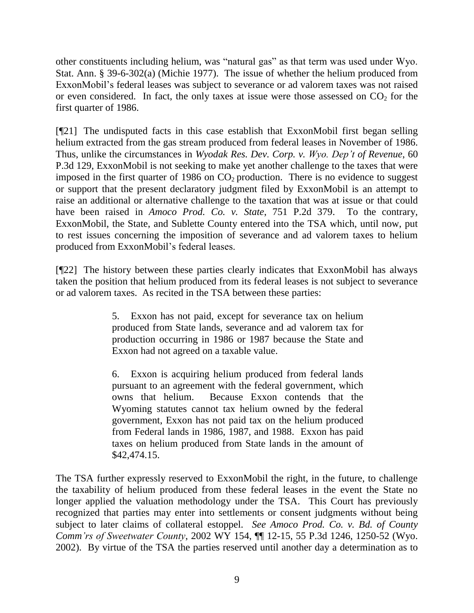other constituents including helium, was "natural gas" as that term was used under Wyo. Stat. Ann. § 39-6-302(a) (Michie 1977). The issue of whether the helium produced from ExxonMobil's federal leases was subject to severance or ad valorem taxes was not raised or even considered. In fact, the only taxes at issue were those assessed on  $CO<sub>2</sub>$  for the first quarter of 1986.

[¶21] The undisputed facts in this case establish that ExxonMobil first began selling helium extracted from the gas stream produced from federal leases in November of 1986. Thus, unlike the circumstances in *Wyodak Res. Dev. Corp. v. Wyo. Dep't of Revenue*, 60 P.3d 129, ExxonMobil is not seeking to make yet another challenge to the taxes that were imposed in the first quarter of 1986 on  $CO<sub>2</sub>$  production. There is no evidence to suggest or support that the present declaratory judgment filed by ExxonMobil is an attempt to raise an additional or alternative challenge to the taxation that was at issue or that could have been raised in *Amoco Prod. Co. v. State*, 751 P.2d 379. To the contrary, ExxonMobil, the State, and Sublette County entered into the TSA which, until now, put to rest issues concerning the imposition of severance and ad valorem taxes to helium produced from ExxonMobil's federal leases.

[¶22] The history between these parties clearly indicates that ExxonMobil has always taken the position that helium produced from its federal leases is not subject to severance or ad valorem taxes. As recited in the TSA between these parties:

> 5. Exxon has not paid, except for severance tax on helium produced from State lands, severance and ad valorem tax for production occurring in 1986 or 1987 because the State and Exxon had not agreed on a taxable value.

> 6. Exxon is acquiring helium produced from federal lands pursuant to an agreement with the federal government, which owns that helium. Because Exxon contends that the Wyoming statutes cannot tax helium owned by the federal government, Exxon has not paid tax on the helium produced from Federal lands in 1986, 1987, and 1988. Exxon has paid taxes on helium produced from State lands in the amount of \$42,474.15.

The TSA further expressly reserved to ExxonMobil the right, in the future, to challenge the taxability of helium produced from these federal leases in the event the State no longer applied the valuation methodology under the TSA. This Court has previously recognized that parties may enter into settlements or consent judgments without being subject to later claims of collateral estoppel. *See Amoco Prod. Co. v. Bd. of County Comm'rs of Sweetwater County*, 2002 WY 154, ¶¶ 12-15, 55 P.3d 1246, 1250-52 (Wyo. 2002). By virtue of the TSA the parties reserved until another day a determination as to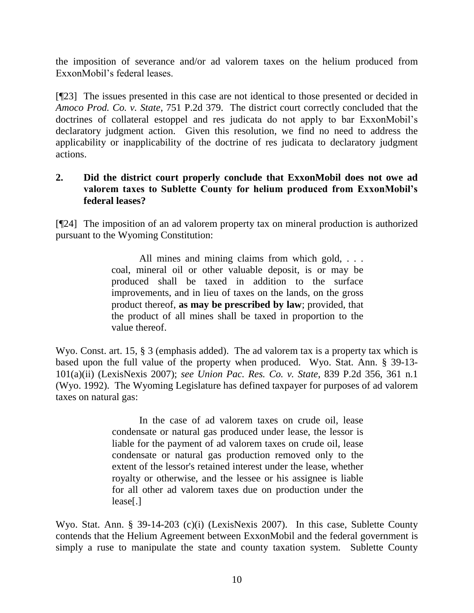the imposition of severance and/or ad valorem taxes on the helium produced from ExxonMobil's federal leases.

[¶23] The issues presented in this case are not identical to those presented or decided in *Amoco Prod. Co. v. State*, 751 P.2d 379. The district court correctly concluded that the doctrines of collateral estoppel and res judicata do not apply to bar ExxonMobil's declaratory judgment action. Given this resolution, we find no need to address the applicability or inapplicability of the doctrine of res judicata to declaratory judgment actions.

### **2. Did the district court properly conclude that ExxonMobil does not owe ad valorem taxes to Sublette County for helium produced from ExxonMobil's federal leases?**

[¶24] The imposition of an ad valorem property tax on mineral production is authorized pursuant to the Wyoming Constitution:

> All mines and mining claims from which gold, ... coal, mineral oil or other valuable deposit, is or may be produced shall be taxed in addition to the surface improvements, and in lieu of taxes on the lands, on the gross product thereof, **as may be prescribed by law**; provided, that the product of all mines shall be taxed in proportion to the value thereof.

Wyo. Const. art. 15, § 3 (emphasis added). The ad valorem tax is a property tax which is based upon the full value of the property when produced. Wyo. Stat. Ann. § 39-13- 101(a)(ii) (LexisNexis 2007); *see Union Pac. Res. Co. v. State*, 839 P.2d 356, 361 n.1 (Wyo. 1992). The Wyoming Legislature has defined taxpayer for purposes of ad valorem taxes on natural gas:

> In the case of ad valorem taxes on crude oil, lease condensate or natural gas produced under lease, the lessor is liable for the payment of ad valorem taxes on crude oil, lease condensate or natural gas production removed only to the extent of the lessor's retained interest under the lease, whether royalty or otherwise, and the lessee or his assignee is liable for all other ad valorem taxes due on production under the lease[.]

Wyo. Stat. Ann. § 39-14-203 (c)(i) (LexisNexis 2007). In this case, Sublette County contends that the Helium Agreement between ExxonMobil and the federal government is simply a ruse to manipulate the state and county taxation system. Sublette County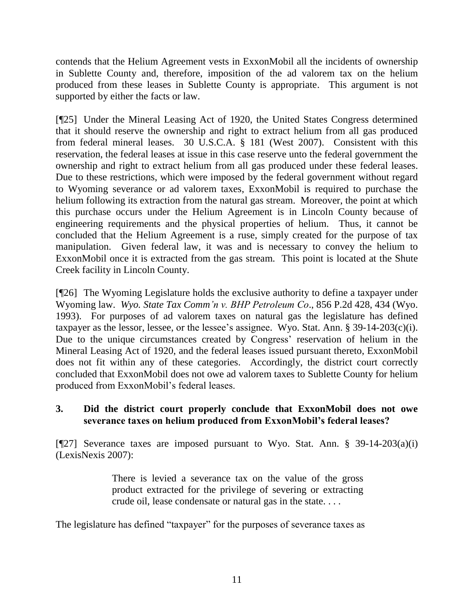contends that the Helium Agreement vests in ExxonMobil all the incidents of ownership in Sublette County and, therefore, imposition of the ad valorem tax on the helium produced from these leases in Sublette County is appropriate. This argument is not supported by either the facts or law.

[¶25] Under the Mineral Leasing Act of 1920, the United States Congress determined that it should reserve the ownership and right to extract helium from all gas produced from federal mineral leases. 30 U.S.C.A. § 181 (West 2007). Consistent with this reservation, the federal leases at issue in this case reserve unto the federal government the ownership and right to extract helium from all gas produced under these federal leases. Due to these restrictions, which were imposed by the federal government without regard to Wyoming severance or ad valorem taxes, ExxonMobil is required to purchase the helium following its extraction from the natural gas stream. Moreover, the point at which this purchase occurs under the Helium Agreement is in Lincoln County because of engineering requirements and the physical properties of helium. Thus, it cannot be concluded that the Helium Agreement is a ruse, simply created for the purpose of tax manipulation. Given federal law, it was and is necessary to convey the helium to ExxonMobil once it is extracted from the gas stream. This point is located at the Shute Creek facility in Lincoln County.

[¶26] The Wyoming Legislature holds the exclusive authority to define a taxpayer under Wyoming law. *Wyo. State Tax Comm'n v. BHP Petroleum Co*., 856 P.2d 428, 434 (Wyo. 1993). For purposes of ad valorem taxes on natural gas the legislature has defined taxpayer as the lessor, lessee, or the lessee's assignee. Wyo. Stat. Ann. § 39-14-203(c)(i). Due to the unique circumstances created by Congress' reservation of helium in the Mineral Leasing Act of 1920, and the federal leases issued pursuant thereto, ExxonMobil does not fit within any of these categories. Accordingly, the district court correctly concluded that ExxonMobil does not owe ad valorem taxes to Sublette County for helium produced from ExxonMobil's federal leases.

## **3. Did the district court properly conclude that ExxonMobil does not owe severance taxes on helium produced from ExxonMobil's federal leases?**

[¶27] Severance taxes are imposed pursuant to Wyo. Stat. Ann. § 39-14-203(a)(i) (LexisNexis 2007):

> There is levied a severance tax on the value of the gross product extracted for the privilege of severing or extracting crude oil, lease condensate or natural gas in the state. . . .

The legislature has defined "taxpayer" for the purposes of severance taxes as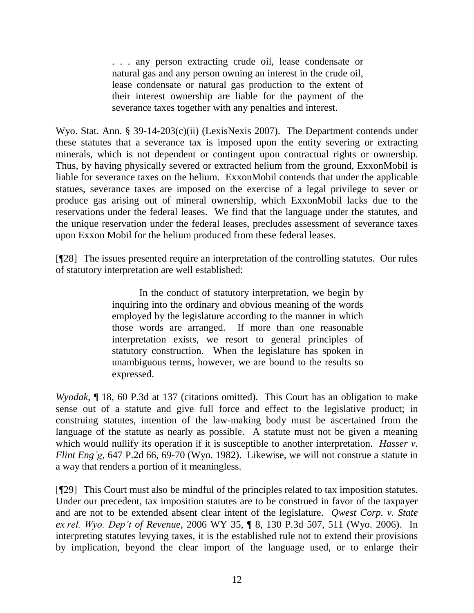. . . any person extracting crude oil, lease condensate or natural gas and any person owning an interest in the crude oil, lease condensate or natural gas production to the extent of their interest ownership are liable for the payment of the severance taxes together with any penalties and interest.

Wyo. Stat. Ann. § 39-14-203(c)(ii) (LexisNexis 2007). The Department contends under these statutes that a severance tax is imposed upon the entity severing or extracting minerals, which is not dependent or contingent upon contractual rights or ownership. Thus, by having physically severed or extracted helium from the ground, ExxonMobil is liable for severance taxes on the helium. ExxonMobil contends that under the applicable statues, severance taxes are imposed on the exercise of a legal privilege to sever or produce gas arising out of mineral ownership, which ExxonMobil lacks due to the reservations under the federal leases. We find that the language under the statutes, and the unique reservation under the federal leases, precludes assessment of severance taxes upon Exxon Mobil for the helium produced from these federal leases.

[¶28] The issues presented require an interpretation of the controlling statutes. Our rules of statutory interpretation are well established:

> In the conduct of statutory interpretation, we begin by inquiring into the ordinary and obvious meaning of the words employed by the legislature according to the manner in which those words are arranged. If more than one reasonable interpretation exists, we resort to general principles of statutory construction. When the legislature has spoken in unambiguous terms, however, we are bound to the results so expressed.

*Wyodak*, ¶ 18, 60 P.3d at 137 (citations omitted). This Court has an obligation to make sense out of a statute and give full force and effect to the legislative product; in construing statutes, intention of the law-making body must be ascertained from the language of the statute as nearly as possible. A statute must not be given a meaning which would nullify its operation if it is susceptible to another interpretation. *Hasser v. Flint Eng'g*, 647 P.2d 66, 69-70 (Wyo. 1982). Likewise, we will not construe a statute in a way that renders a portion of it meaningless.

[¶29] This Court must also be mindful of the principles related to tax imposition statutes. Under our precedent, tax imposition statutes are to be construed in favor of the taxpayer and are not to be extended absent clear intent of the legislature. *Qwest Corp. v. State ex rel. Wyo. Dep't of Revenue*, 2006 WY 35, ¶ 8, 130 P.3d 507, 511 (Wyo. 2006). In interpreting statutes levying taxes, it is the established rule not to extend their provisions by implication, beyond the clear import of the language used, or to enlarge their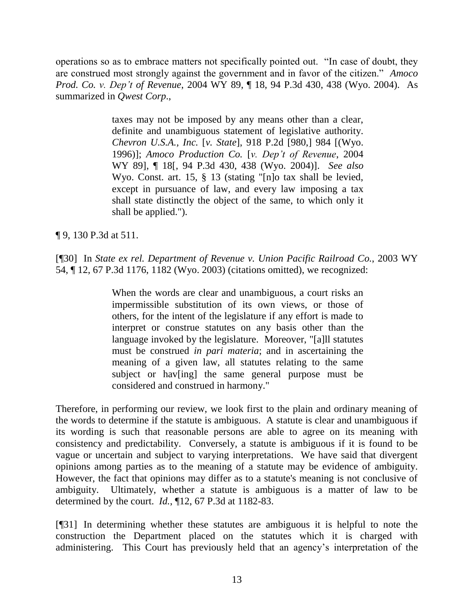operations so as to embrace matters not specifically pointed out. "In case of doubt, they are construed most strongly against the government and in favor of the citizen." *Amoco Prod. Co. v. Dep't of Revenue*, 2004 WY 89, ¶ 18, 94 P.3d 430, 438 (Wyo. 2004). As summarized in *Qwest Corp*.,

> taxes may not be imposed by any means other than a clear, definite and unambiguous statement of legislative authority. *Chevron U.S.A., Inc.* [*v. State*], 918 P.2d [980,] 984 [(Wyo. 1996)]; *Amoco Production Co.* [*v. Dep't of Revenue*, 2004 WY 89], ¶ 18[, 94 P.3d 430, 438 (Wyo. 2004)]. *See also* Wyo. Const. art. 15, § 13 (stating "[n]o tax shall be levied, except in pursuance of law, and every law imposing a tax shall state distinctly the object of the same, to which only it shall be applied.").

¶ 9, 130 P.3d at 511.

[¶30] In *State ex rel. Department of Revenue v. Union Pacific Railroad Co.*, 2003 WY 54, ¶ 12, 67 P.3d 1176, 1182 (Wyo. 2003) (citations omitted), we recognized:

> When the words are clear and unambiguous, a court risks an impermissible substitution of its own views, or those of others, for the intent of the legislature if any effort is made to interpret or construe statutes on any basis other than the language invoked by the legislature. Moreover, "[a]ll statutes must be construed *in pari materia*; and in ascertaining the meaning of a given law, all statutes relating to the same subject or hav[ing] the same general purpose must be considered and construed in harmony."

Therefore, in performing our review, we look first to the plain and ordinary meaning of the words to determine if the statute is ambiguous. A statute is clear and unambiguous if its wording is such that reasonable persons are able to agree on its meaning with consistency and predictability. Conversely, a statute is ambiguous if it is found to be vague or uncertain and subject to varying interpretations. We have said that divergent opinions among parties as to the meaning of a statute may be evidence of ambiguity. However, the fact that opinions may differ as to a statute's meaning is not conclusive of ambiguity. Ultimately, whether a statute is ambiguous is a matter of law to be determined by the court. *Id.*, ¶12, 67 P.3d at 1182-83.

[¶31] In determining whether these statutes are ambiguous it is helpful to note the construction the Department placed on the statutes which it is charged with administering. This Court has previously held that an agency's interpretation of the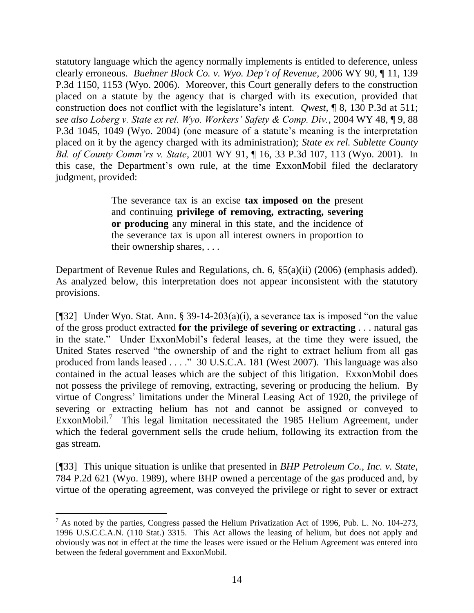statutory language which the agency normally implements is entitled to deference, unless clearly erroneous. *Buehner Block Co. v. Wyo. Dep't of Revenue*, 2006 WY 90, ¶ 11, 139 P.3d 1150, 1153 (Wyo. 2006). Moreover, this Court generally defers to the construction placed on a statute by the agency that is charged with its execution, provided that construction does not conflict with the legislature's intent. *Qwest*, ¶ 8, 130 P.3d at 511; *see also Loberg v. State ex rel. Wyo. Workers' Safety & Comp. Div.*, 2004 WY 48, ¶ 9, 88 P.3d 1045, 1049 (Wyo. 2004) (one measure of a statute's meaning is the interpretation placed on it by the agency charged with its administration); *State ex rel. Sublette County Bd. of County Comm'rs v. State*, 2001 WY 91, ¶ 16, 33 P.3d 107, 113 (Wyo. 2001). In this case, the Department's own rule, at the time ExxonMobil filed the declaratory judgment, provided:

> The severance tax is an excise **tax imposed on the** present and continuing **privilege of removing, extracting, severing or producing** any mineral in this state, and the incidence of the severance tax is upon all interest owners in proportion to their ownership shares, . . .

Department of Revenue Rules and Regulations, ch. 6, §5(a)(ii) (2006) (emphasis added). As analyzed below, this interpretation does not appear inconsistent with the statutory provisions.

[¶32] Under Wyo. Stat. Ann. § 39-14-203(a)(i), a severance tax is imposed "on the value of the gross product extracted **for the privilege of severing or extracting** . . . natural gas in the state." Under ExxonMobil's federal leases, at the time they were issued, the United States reserved "the ownership of and the right to extract helium from all gas produced from lands leased . . . ." 30 U.S.C.A. 181 (West 2007). This language was also contained in the actual leases which are the subject of this litigation. ExxonMobil does not possess the privilege of removing, extracting, severing or producing the helium. By virtue of Congress' limitations under the Mineral Leasing Act of 1920, the privilege of severing or extracting helium has not and cannot be assigned or conveyed to ExxonMobil.<sup>7</sup> This legal limitation necessitated the 1985 Helium Agreement, under which the federal government sells the crude helium, following its extraction from the gas stream.

[¶33] This unique situation is unlike that presented in *BHP Petroleum Co., Inc. v. State*, 784 P.2d 621 (Wyo. 1989), where BHP owned a percentage of the gas produced and, by virtue of the operating agreement, was conveyed the privilege or right to sever or extract

 $<sup>7</sup>$  As noted by the parties, Congress passed the Helium Privatization Act of 1996, Pub. L. No. 104-273,</sup> 1996 U.S.C.C.A.N. (110 Stat.) 3315. This Act allows the leasing of helium, but does not apply and obviously was not in effect at the time the leases were issued or the Helium Agreement was entered into between the federal government and ExxonMobil.